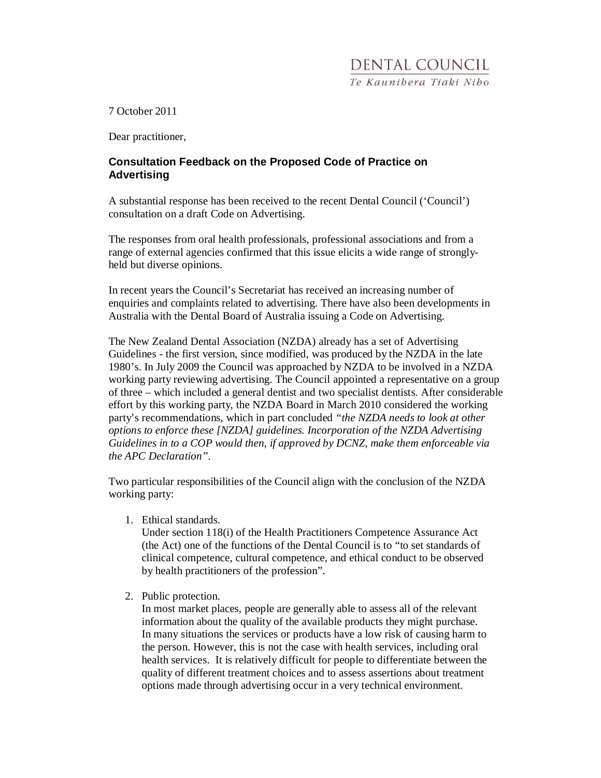7 October 2011

Dear practitioner,

## **Consultation Feedback on the Proposed Code of Practice on Advertising**

A substantial response has been received to the recent Dental Council ('Council') consultation on a draft Code on Advertising.

The responses from oral health professionals, professional associations and from a range of external agencies confirmed that this issue elicits a wide range of stronglyheld but diverse opinions.

In recent years the Council's Secretariat has received an increasing number of enquiries and complaints related to advertising. There have also been developments in Australia with the Dental Board of Australia issuing a Code on Advertising.

The New Zealand Dental Association (NZDA) already has a set of Advertising Guidelines - the first version, since modified, was produced by the NZDA in the late 1980's. In July 2009 the Council was approached by NZDA to be involved in a NZDA working party reviewing advertising. The Council appointed a representative on a group of three – which included a general dentist and two specialist dentists. After considerable effort by this working party, the NZDA Board in March 2010 considered the working party's recommendations, which in part concluded *"the NZDA needs to look at other options to enforce these [NZDA] guidelines. Incorporation of the NZDA Advertising Guidelines in to a COP would then, if approved by DCNZ, make them enforceable via the APC Declaration".* 

Two particular responsibilities of the Council align with the conclusion of the NZDA working party:

1. Ethical standards.

Under section 118(i) of the Health Practitioners Competence Assurance Act (the Act) one of the functions of the Dental Council is to "to set standards of clinical competence, cultural competence, and ethical conduct to be observed by health practitioners of the profession".

2. Public protection.

In most market places, people are generally able to assess all of the relevant information about the quality of the available products they might purchase. In many situations the services or products have a low risk of causing harm to the person. However, this is not the case with health services, including oral health services. It is relatively difficult for people to differentiate between the quality of different treatment choices and to assess assertions about treatment options made through advertising occur in a very technical environment.